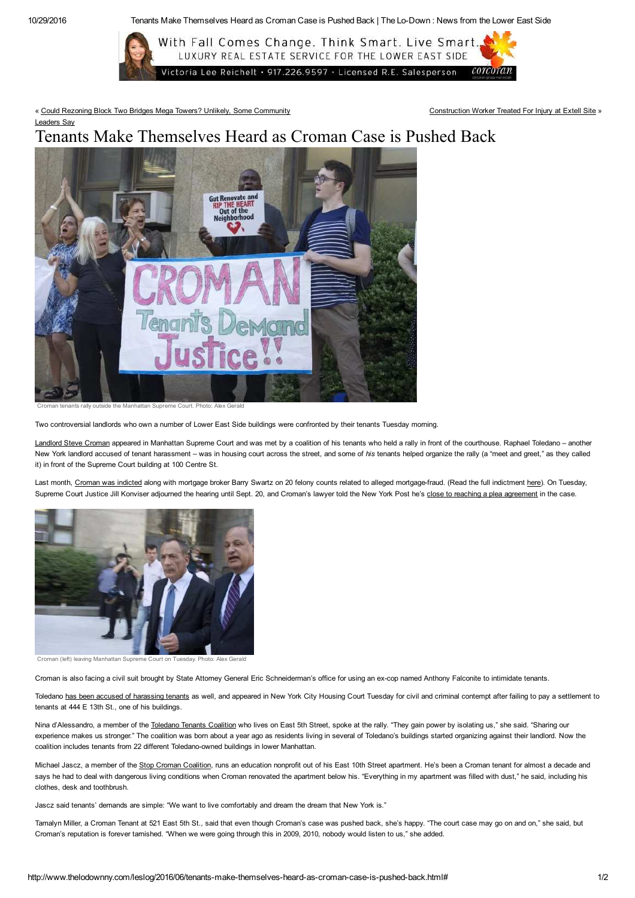10/29/2016 Tenants Make Themselves Heard as Croman Case is Pushed Back | The Lo-Down : News from the Lower East Side



« Could Rezoning Block Two Bridges Mega Towers? Unlikely, Some Community Leaders Say

Construction Worker Treated For Injury at Extell Site »

# Tenants Make Themselves Heard as Croman Case is Pushed Back



me Court. Photo:

Two controversial landlords who own a number of Lower East Side buildings were confronted by their tenants Tuesday morning.

Landlord Steve Croman appeared in Manhattan Supreme Court and was met by a coalition of his tenants who held a rally in front of the courthouse. Raphael Toledano - another New York landlord accused of tenant harassment – was in housing court across the street, and some of *his* tenants helped organize the rally (a "meet and greet," as they called it) in front of the Supreme Court building at 100 Centre St.

Last month, Croman was indicted along with mortgage broker Barry Swartz on 20 felony counts related to alleged mortgage-fraud. (Read the full indictment here). On Tuesday, Supreme Court Justice Jill Konviser adjourned the hearing until Sept. 20, and Croman's lawyer told the New York Post he's close to reaching a plea agreement in the case.



Croman (left) leaving Manhattan Supreme Court on Tuesday. Photo: Alex Gerald

Croman is also facing a civil suit brought by State Attorney General Eric Schneiderman's office for using an ex-cop named Anthony Falconite to intimidate tenants.

Toledano has been accused of harassing tenants as well, and appeared in New York City Housing Court Tuesday for civil and criminal contempt after failing to pay a settlement to tenants at 444 E 13th St., one of his buildings.

Nina d'Alessandro, a member of the Toledano Tenants Coalition who lives on East 5th Street, spoke at the rally. "They gain power by isolating us," she said. "Sharing our experience makes us stronger." The coalition was born about a year ago as residents living in several of Toledano's buildings started organizing against their landlord. Now the coalition includes tenants from 22 different Toledano-owned buildings in lower Manhattan.

Michael Jascz, a member of the Stop Croman Coalition, runs an education nonprofit out of his East 10th Street apartment. He's been a Croman tenant for almost a decade and says he had to deal with dangerous living conditions when Croman renovated the apartment below his. "Everything in my apartment was filled with dust," he said, including his clothes, desk and toothbrush.

Jascz said tenants' demands are simple: "We want to live comfortably and dream the dream that New York is."

Tamalyn Miller, a Croman Tenant at 521 East 5th St., said that even though Croman's case was pushed back, she's happy. "The court case may go on and on," she said, but Croman's reputation is forever tarnished. "When we were going through this in 2009, 2010, nobody would listen to us," she added.